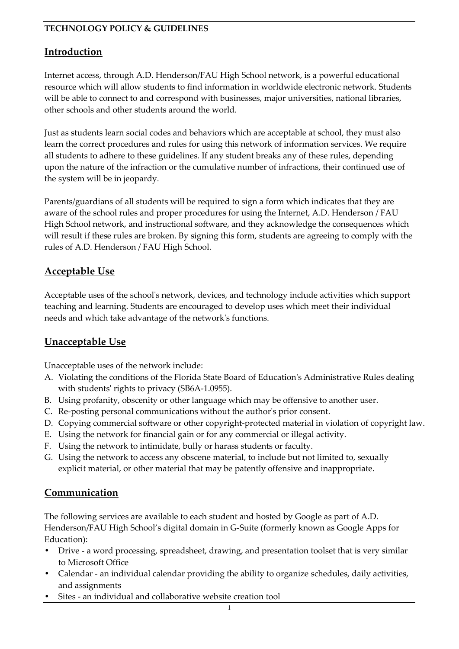## **Introduction**

Internet access, through A.D. Henderson/FAU High School network, is a powerful educational resource which will allow students to find information in worldwide electronic network. Students will be able to connect to and correspond with businesses, major universities, national libraries, other schools and other students around the world.

Just as students learn social codes and behaviors which are acceptable at school, they must also learn the correct procedures and rules for using this network of information services. We require all students to adhere to these guidelines. If any student breaks any of these rules, depending upon the nature of the infraction or the cumulative number of infractions, their continued use of the system will be in jeopardy.

Parents/guardians of all students will be required to sign a form which indicates that they are aware of the school rules and proper procedures for using the Internet, A.D. Henderson / FAU High School network, and instructional software, and they acknowledge the consequences which will result if these rules are broken. By signing this form, students are agreeing to comply with the rules of A.D. Henderson / FAU High School.

### **Acceptable Use**

Acceptable uses of the school's network, devices, and technology include activities which support teaching and learning. Students are encouraged to develop uses which meet their individual needs and which take advantage of the network's functions.

## **Unacceptable Use**

Unacceptable uses of the network include:

- A. Violating the conditions of the Florida State Board of Education's Administrative Rules dealing with students' rights to privacy (SB6A-1.0955).
- B. Using profanity, obscenity or other language which may be offensive to another user.
- C. Re-posting personal communications without the author's prior consent.
- D. Copying commercial software or other copyright-protected material in violation of copyright law.
- E. Using the network for financial gain or for any commercial or illegal activity.
- F. Using the network to intimidate, bully or harass students or faculty.
- G. Using the network to access any obscene material, to include but not limited to, sexually explicit material, or other material that may be patently offensive and inappropriate.

#### **Communication**

The following services are available to each student and hosted by Google as part of A.D. Henderson/FAU High School's digital domain in G-Suite (formerly known as Google Apps for Education):

- Drive a word processing, spreadsheet, drawing, and presentation toolset that is very similar to Microsoft Office
- Calendar an individual calendar providing the ability to organize schedules, daily activities, and assignments
- Sites an individual and collaborative website creation tool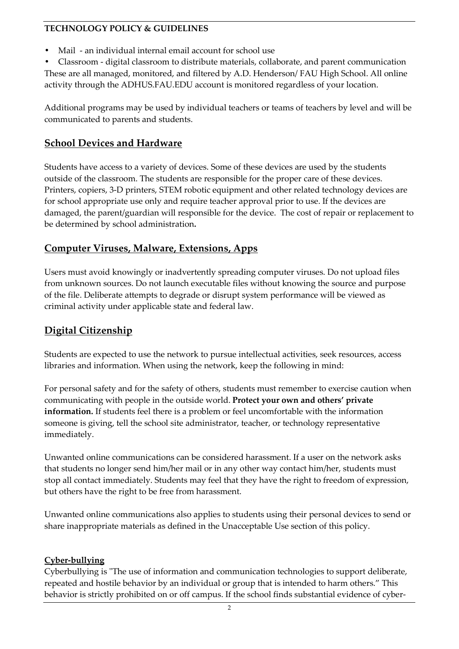- Mail an individual internal email account for school use
- Classroom digital classroom to distribute materials, collaborate, and parent communication These are all managed, monitored, and filtered by A.D. Henderson/ FAU High School. All online activity through the ADHUS.FAU.EDU account is monitored regardless of your location.

Additional programs may be used by individual teachers or teams of teachers by level and will be communicated to parents and students.

## **School Devices and Hardware**

Students have access to a variety of devices. Some of these devices are used by the students outside of the classroom. The students are responsible for the proper care of these devices. Printers, copiers, 3-D printers, STEM robotic equipment and other related technology devices are for school appropriate use only and require teacher approval prior to use. If the devices are damaged, the parent/guardian will responsible for the device. The cost of repair or replacement to be determined by school administration**.**

## **Computer Viruses, Malware, Extensions, Apps**

Users must avoid knowingly or inadvertently spreading computer viruses. Do not upload files from unknown sources. Do not launch executable files without knowing the source and purpose of the file. Deliberate attempts to degrade or disrupt system performance will be viewed as criminal activity under applicable state and federal law.

# **Digital Citizenship**

Students are expected to use the network to pursue intellectual activities, seek resources, access libraries and information. When using the network, keep the following in mind:

For personal safety and for the safety of others, students must remember to exercise caution when communicating with people in the outside world. **Protect your own and others' private information.** If students feel there is a problem or feel uncomfortable with the information someone is giving, tell the school site administrator, teacher, or technology representative immediately.

Unwanted online communications can be considered harassment. If a user on the network asks that students no longer send him/her mail or in any other way contact him/her, students must stop all contact immediately. Students may feel that they have the right to freedom of expression, but others have the right to be free from harassment.

Unwanted online communications also applies to students using their personal devices to send or share inappropriate materials as defined in the Unacceptable Use section of this policy.

#### **Cyber-bullying**

Cyberbullying is "The use of information and communication technologies to support deliberate, repeated and hostile behavior by an individual or group that is intended to harm others." This behavior is strictly prohibited on or off campus. If the school finds substantial evidence of cyber-

 $\overline{2}$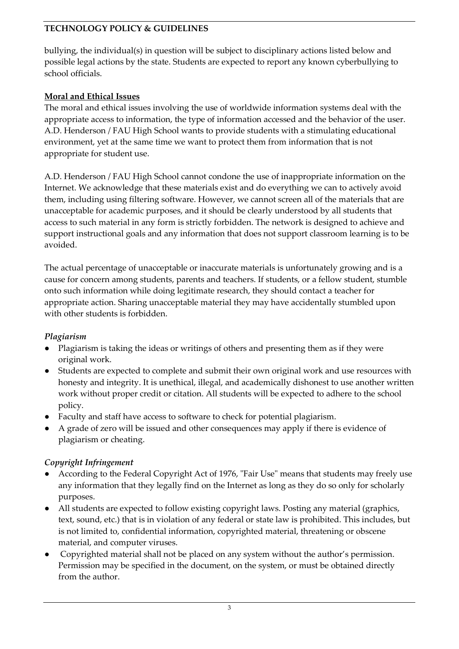bullying, the individual(s) in question will be subject to disciplinary actions listed below and possible legal actions by the state. Students are expected to report any known cyberbullying to school officials.

### **Moral and Ethical Issues**

The moral and ethical issues involving the use of worldwide information systems deal with the appropriate access to information, the type of information accessed and the behavior of the user. A.D. Henderson / FAU High School wants to provide students with a stimulating educational environment, yet at the same time we want to protect them from information that is not appropriate for student use.

A.D. Henderson / FAU High School cannot condone the use of inappropriate information on the Internet. We acknowledge that these materials exist and do everything we can to actively avoid them, including using filtering software. However, we cannot screen all of the materials that are unacceptable for academic purposes, and it should be clearly understood by all students that access to such material in any form is strictly forbidden. The network is designed to achieve and support instructional goals and any information that does not support classroom learning is to be avoided.

The actual percentage of unacceptable or inaccurate materials is unfortunately growing and is a cause for concern among students, parents and teachers. If students, or a fellow student, stumble onto such information while doing legitimate research, they should contact a teacher for appropriate action. Sharing unacceptable material they may have accidentally stumbled upon with other students is forbidden.

## *Plagiarism*

- Plagiarism is taking the ideas or writings of others and presenting them as if they were original work.
- Students are expected to complete and submit their own original work and use resources with honesty and integrity. It is unethical, illegal, and academically dishonest to use another written work without proper credit or citation. All students will be expected to adhere to the school policy.
- Faculty and staff have access to software to check for potential plagiarism.
- A grade of zero will be issued and other consequences may apply if there is evidence of plagiarism or cheating.

## *Copyright Infringement*

- According to the Federal Copyright Act of 1976, "Fair Use" means that students may freely use any information that they legally find on the Internet as long as they do so only for scholarly purposes.
- All students are expected to follow existing copyright laws. Posting any material (graphics, text, sound, etc.) that is in violation of any federal or state law is prohibited. This includes, but is not limited to, confidential information, copyrighted material, threatening or obscene material, and computer viruses.
- Copyrighted material shall not be placed on any system without the author's permission. Permission may be specified in the document, on the system, or must be obtained directly from the author.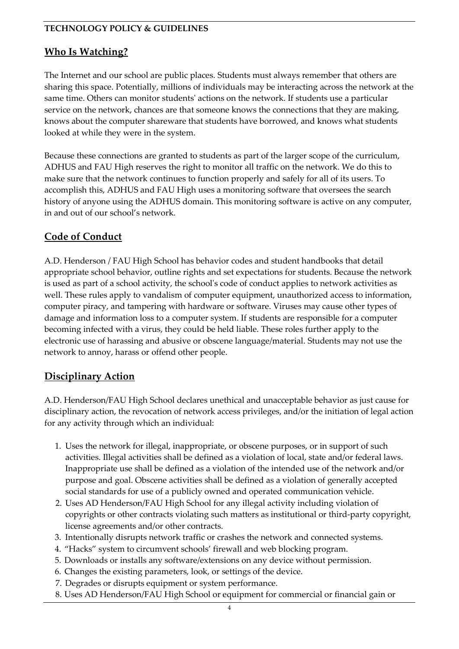### **Who Is Watching?**

The Internet and our school are public places. Students must always remember that others are sharing this space. Potentially, millions of individuals may be interacting across the network at the same time. Others can monitor students' actions on the network. If students use a particular service on the network, chances are that someone knows the connections that they are making, knows about the computer shareware that students have borrowed, and knows what students looked at while they were in the system.

Because these connections are granted to students as part of the larger scope of the curriculum, ADHUS and FAU High reserves the right to monitor all traffic on the network. We do this to make sure that the network continues to function properly and safely for all of its users. To accomplish this, ADHUS and FAU High uses a monitoring software that oversees the search history of anyone using the ADHUS domain. This monitoring software is active on any computer, in and out of our school's network.

## **Code of Conduct**

A.D. Henderson / FAU High School has behavior codes and student handbooks that detail appropriate school behavior, outline rights and set expectations for students. Because the network is used as part of a school activity, the school's code of conduct applies to network activities as well. These rules apply to vandalism of computer equipment, unauthorized access to information, computer piracy, and tampering with hardware or software. Viruses may cause other types of damage and information loss to a computer system. If students are responsible for a computer becoming infected with a virus, they could be held liable. These roles further apply to the electronic use of harassing and abusive or obscene language/material. Students may not use the network to annoy, harass or offend other people.

## **Disciplinary Action**

A.D. Henderson/FAU High School declares unethical and unacceptable behavior as just cause for disciplinary action, the revocation of network access privileges, and/or the initiation of legal action for any activity through which an individual:

- 1. Uses the network for illegal, inappropriate, or obscene purposes, or in support of such activities. Illegal activities shall be defined as a violation of local, state and/or federal laws. Inappropriate use shall be defined as a violation of the intended use of the network and/or purpose and goal. Obscene activities shall be defined as a violation of generally accepted social standards for use of a publicly owned and operated communication vehicle.
- 2. Uses AD Henderson/FAU High School for any illegal activity including violation of copyrights or other contracts violating such matters as institutional or third-party copyright, license agreements and/or other contracts.
- 3. Intentionally disrupts network traffic or crashes the network and connected systems.
- 4. "Hacks" system to circumvent schools' firewall and web blocking program.
- 5. Downloads or installs any software/extensions on any device without permission.
- 6. Changes the existing parameters, look, or settings of the device.
- 7. Degrades or disrupts equipment or system performance.
- 8. Uses AD Henderson/FAU High School or equipment for commercial or financial gain or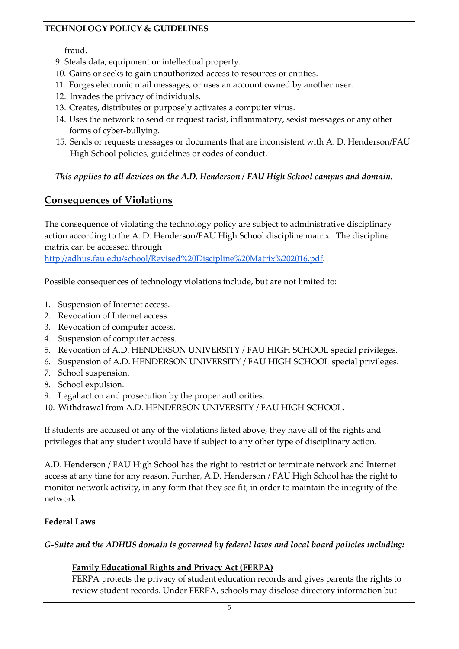#### fraud.

- 9. Steals data, equipment or intellectual property.
- 10. Gains or seeks to gain unauthorized access to resources or entities.
- 11. Forges electronic mail messages, or uses an account owned by another user.
- 12. Invades the privacy of individuals.
- 13. Creates, distributes or purposely activates a computer virus.
- 14. Uses the network to send or request racist, inflammatory, sexist messages or any other forms of cyber-bullying.
- 15. Sends or requests messages or documents that are inconsistent with A. D. Henderson/FAU High School policies, guidelines or codes of conduct.

#### *This applies to all devices on the A.D. Henderson / FAU High School campus and domain.*

# **Consequences of Violations**

The consequence of violating the technology policy are subject to administrative disciplinary action according to the A. D. Henderson/FAU High School discipline matrix. The discipline matrix can be accessed through

[http://adhus.fau.edu/school/Revised%20Discipline%20Matrix%202016.pdf.](http://adhus.fau.edu/school/Revised%20Discipline%20Matrix%202016.pdf)

Possible consequences of technology violations include, but are not limited to:

- 1. Suspension of Internet access.
- 2. Revocation of Internet access.
- 3. Revocation of computer access.
- 4. Suspension of computer access.
- 5. Revocation of A.D. HENDERSON UNIVERSITY / FAU HIGH SCHOOL special privileges.
- 6. Suspension of A.D. HENDERSON UNIVERSITY / FAU HIGH SCHOOL special privileges.
- 7. School suspension.
- 8. School expulsion.
- 9. Legal action and prosecution by the proper authorities.
- 10. Withdrawal from A.D. HENDERSON UNIVERSITY / FAU HIGH SCHOOL.

If students are accused of any of the violations listed above, they have all of the rights and privileges that any student would have if subject to any other type of disciplinary action.

A.D. Henderson / FAU High School has the right to restrict or terminate network and Internet access at any time for any reason. Further, A.D. Henderson / FAU High School has the right to monitor network activity, in any form that they see fit, in order to maintain the integrity of the network.

#### **Federal Laws**

#### *G-Suite and the ADHUS domain is governed by federal laws and local board policies including:*

### **Family Educational Rights and Privacy Act (FERPA)**

FERPA protects the privacy of student education records and gives parents the rights to review student records. Under FERPA, schools may disclose directory information but